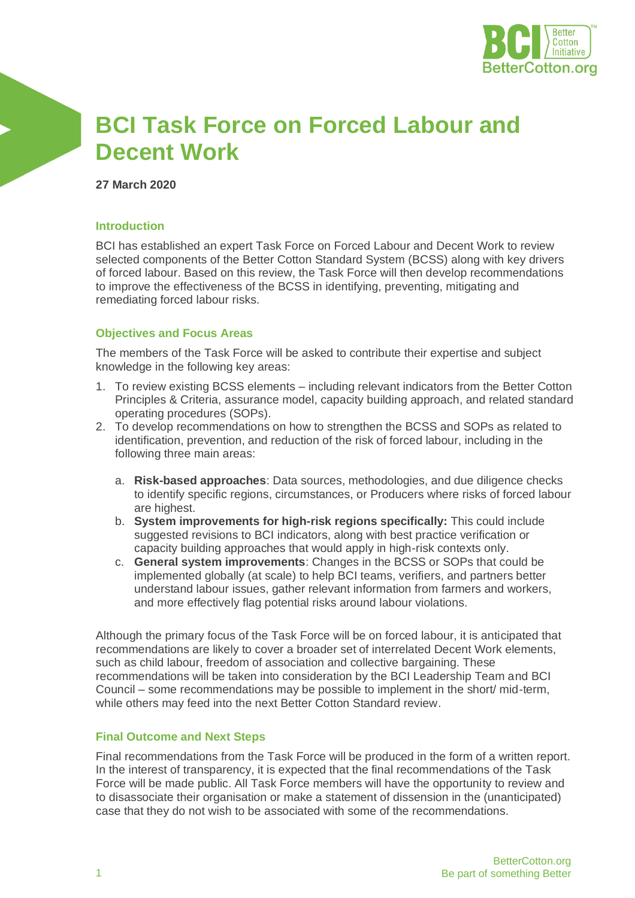

# **BCI Task Force on Forced Labour and Decent Work**

**27 March 2020**

### **Introduction**

BCI has established an expert Task Force on Forced Labour and Decent Work to review selected components of the Better Cotton Standard System (BCSS) along with key drivers of forced labour. Based on this review, the Task Force will then develop recommendations to improve the effectiveness of the BCSS in identifying, preventing, mitigating and remediating forced labour risks.

## **Objectives and Focus Areas**

The members of the Task Force will be asked to contribute their expertise and subject knowledge in the following key areas:

- 1. To review existing BCSS elements including relevant indicators from the Better Cotton Principles & Criteria, assurance model, capacity building approach, and related standard operating procedures (SOPs).
- 2. To develop recommendations on how to strengthen the BCSS and SOPs as related to identification, prevention, and reduction of the risk of forced labour, including in the following three main areas:
	- a. **Risk-based approaches**: Data sources, methodologies, and due diligence checks to identify specific regions, circumstances, or Producers where risks of forced labour are highest.
	- b. **System improvements for high-risk regions specifically:** This could include suggested revisions to BCI indicators, along with best practice verification or capacity building approaches that would apply in high-risk contexts only.
	- c. **General system improvements**: Changes in the BCSS or SOPs that could be implemented globally (at scale) to help BCI teams, verifiers, and partners better understand labour issues, gather relevant information from farmers and workers, and more effectively flag potential risks around labour violations.

Although the primary focus of the Task Force will be on forced labour, it is anticipated that recommendations are likely to cover a broader set of interrelated Decent Work elements, such as child labour, freedom of association and collective bargaining. These recommendations will be taken into consideration by the BCI Leadership Team and BCI Council – some recommendations may be possible to implement in the short/ mid-term, while others may feed into the next Better Cotton Standard review.

## **Final Outcome and Next Steps**

Final recommendations from the Task Force will be produced in the form of a written report. In the interest of transparency, it is expected that the final recommendations of the Task Force will be made public. All Task Force members will have the opportunity to review and to disassociate their organisation or make a statement of dissension in the (unanticipated) case that they do not wish to be associated with some of the recommendations.